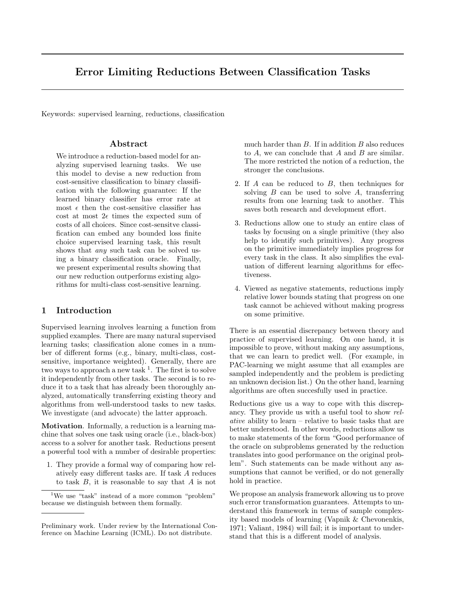# Error Limiting Reductions Between Classification Tasks

Keywords: supervised learning, reductions, classification

## Abstract

We introduce a reduction-based model for analyzing supervised learning tasks. We use this model to devise a new reduction from cost-sensitive classification to binary classification with the following guarantee: If the learned binary classifier has error rate at most  $\epsilon$  then the cost-sensitive classifier has cost at most  $2\epsilon$  times the expected sum of costs of all choices. Since cost-sensitve classification can embed any bounded loss finite choice supervised learning task, this result shows that *any* such task can be solved using a binary classification oracle. Finally, we present experimental results showing that our new reduction outperforms existing algorithms for multi-class cost-sensitive learning.

## 1 Introduction

Supervised learning involves learning a function from supplied examples. There are many natural supervised learning tasks; classification alone comes in a number of different forms (e.g., binary, multi-class, costsensitive, importance weighted). Generally, there are two ways to approach a new task  $<sup>1</sup>$ . The first is to solve</sup> it independently from other tasks. The second is to reduce it to a task that has already been thoroughly analyzed, automatically transferring existing theory and algorithms from well-understood tasks to new tasks. We investigate (and advocate) the latter approach.

Motivation. Informally, a reduction is a learning machine that solves one task using oracle (i.e., black-box) access to a solver for another task. Reductions present a powerful tool with a number of desirable properties:

1. They provide a formal way of comparing how relatively easy different tasks are. If task A reduces to task  $B$ , it is reasonable to say that  $A$  is not much harder than  $B$ . If in addition  $B$  also reduces to  $A$ , we can conclude that  $A$  and  $B$  are similar. The more restricted the notion of a reduction, the stronger the conclusions.

- 2. If A can be reduced to B, then techniques for solving  $B$  can be used to solve  $A$ , transferring results from one learning task to another. This saves both research and development effort.
- 3. Reductions allow one to study an entire class of tasks by focusing on a single primitive (they also help to identify such primitives). Any progress on the primitive immediately implies progress for every task in the class. It also simplifies the evaluation of different learning algorithms for effectiveness.
- 4. Viewed as negative statements, reductions imply relative lower bounds stating that progress on one task cannot be achieved without making progress on some primitive.

There is an essential discrepancy between theory and practice of supervised learning. On one hand, it is impossible to prove, without making any assumptions, that we can learn to predict well. (For example, in PAC-learning we might assume that all examples are sampled independently and the problem is predicting an unknown decision list.) On the other hand, learning algorithms are often succesfully used in practice.

Reductions give us a way to cope with this discrepancy. They provide us with a useful tool to show relative ability to learn – relative to basic tasks that are better understood. In other words, reductions allow us to make statements of the form "Good performance of the oracle on subproblems generated by the reduction translates into good performance on the original problem". Such statements can be made without any assumptions that cannot be verified, or do not generally hold in practice.

We propose an analysis framework allowing us to prove such error transformation guarantees. Attempts to understand this framework in terms of sample complexity based models of learning (Vapnik & Chevonenkis, 1971; Valiant, 1984) will fail; it is important to understand that this is a different model of analysis.

<sup>1</sup>We use "task" instead of a more common "problem" because we distinguish between them formally.

Preliminary work. Under review by the International Conference on Machine Learning (ICML). Do not distribute.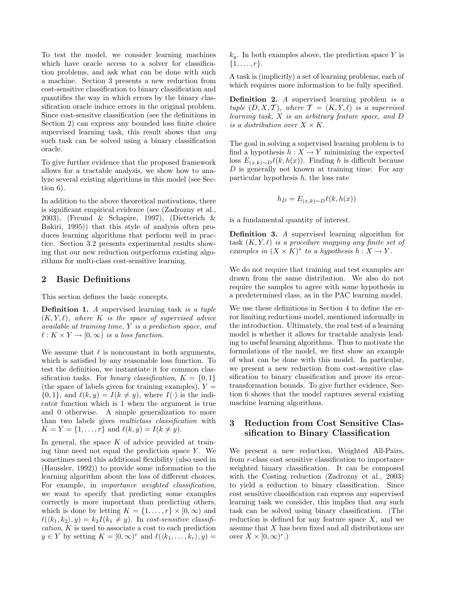To test the model, we consider learning machines which have oracle access to a solver for classification problems, and ask what can be done with such a machine. Section 3 presents a new reduction from cost-sensitive classification to binary classification and quantifies the way in which errors by the binary classification oracle induce errors in the original problem. Since cost-sensitve classification (see the definitions in Section 2) can express any bounded loss finite choice supervised learning task, this result shows that *any* such task can be solved using a binary classification oracle.

To give further evidence that the proposed framework allows for a tractable analysis, we show how to analyze several existing algorithms in this model (see Section 6).

In addition to the above theoretical motivations, there is significant empirical evidence (see (Zadrozny et al., 2003), (Freund & Schapire, 1997), (Dietterich & Bakiri, 1995)) that this style of analysis often produces learning algorithms that perform well in practice. Section 3.2 presents experimental results showing that our new reduction outperforms existing algorithms for multi-class cost-sensitive learning.

### 2 Basic Definitions

This section defines the basic concepts.

Definition 1. A supervised learning task is a tuple  $(K, Y, \ell)$ , where K is the space of supervised advice available at training time, Y is a prediction space, and  $\ell : K \times Y \to [0, \infty)$  is a loss function.

We assume that  $\ell$  is nonconstant in both arguments, which is satisfied by any reasonable loss function. To test the definition, we instantiate it for common classification tasks. For *binary classification*,  $K = \{0, 1\}$ (the space of labels given for training examples),  $Y =$  $\{0, 1\}$ , and  $\ell(k, y) = I(k \neq y)$ , where  $I(\cdot)$  is the indicator function which is 1 when the argument is true and 0 otherwise. A simple generalization to more than two labels gives multiclass classification with  $K = Y = \{1, \ldots, r\}$  and  $\ell(k, y) = I(k \neq y)$ .

In general, the space  $K$  of advice provided at training time need not equal the prediction space  $Y$ . We sometimes need this additional flexibility (also used in (Haussler, 1992)) to provide some information to the learning algorithm about the loss of different choices. For example, in importance weighted classification, we want to specify that predicting some examples correctly is more important than predicting others, which is done by letting  $K = \{1, \ldots, r\} \times [0, \infty)$  and  $\ell(\langle k_1, k_2 \rangle, y) = k_2 I(k_1 \neq y)$ . In cost-sensitive classification, K is used to associate a cost to each prediction  $y \in Y$  by setting  $K = [0, \infty)^r$  and  $\ell(\langle k_1, \ldots, k_r \rangle, y) =$   $k_y$ . In both examples above, the prediction space Y is  $\{1, \ldots, r\}.$ 

A task is (implicitly) a set of learning problems, each of which requires more information to be fully specified.

**Definition 2.** A supervised learning problem is  $a$ tuple  $(D, X, \mathcal{T})$ , where  $\mathcal{T} = (K, Y, \ell)$  is a supervised learning task, X is an arbitrary feature space, and D is a distribution over  $X \times K$ .

The goal in solving a supervised learning problem is to find a hypothesis  $h: X \to Y$  minimizing the expected loss  $E_{(x,k)\sim D} \ell(k, h(x))$ . Finding h is difficult because  $D$  is generally not known at training time. For any particular hypothesis  $h$ , the loss rate

$$
h_D = E_{(x,k)\sim D} \ell(k, h(x))
$$

is a fundamental quantity of interest.

Definition 3. A supervised learning algorithm for task  $(K, Y, \ell)$  is a procedure mapping any finite set of examples in  $(X \times K)^*$  to a hypothesis  $h: X \to Y$ .

We do not require that training and test examples are drawn from the same distribution. We also do not require the samples to agree with some hypothesis in a predetermined class, as in the PAC learning model.

We use these definitions in Section 4 to define the error limiting reductions model, mentioned informally in the introduction. Ultimately, the real test of a learning model is whether it allows for tractable analysis leading to useful learning algorithms. Thus to motivate the formulations of the model, we first show an example of what can be done with this model. In particular, we present a new reduction from cost-sensitive classification to binary classification and prove its errortransformation bounds. To give further evidence, Section 6 shows that the model captures several existing machine learning algorithms.

# 3 Reduction from Cost Sensitive Classification to Binary Classification

We present a new reduction, Weighted All-Pairs, from r-class cost sensitive classification to importance weighted binary classification. It can be composed with the Costing reduction (Zadrozny et al., 2003) to yield a reduction to binary classification. Since cost sensitive classification can express any supervised learning task we consider, this implies that any such task can be solved using binary classification. (The reduction is defined for any feature space  $X$ , and we assume that X has been fixed and all distributions are over  $X \times [0, \infty)^r$ .)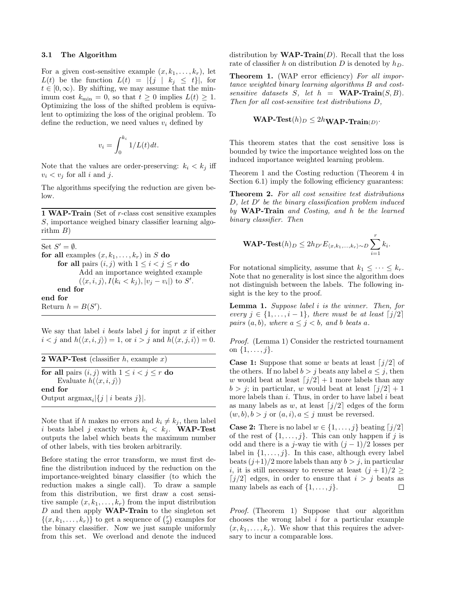#### 3.1 The Algorithm

For a given cost-sensitive example  $(x, k_1, \ldots, k_r)$ , let  $L(t)$  be the function  $L(t) = |\{j \mid k_j \leq t\}|$ , for  $t \in [0, \infty)$ . By shifting, we may assume that the minimum cost  $k_{\min} = 0$ , so that  $t \geq 0$  implies  $L(t) \geq 1$ . Optimizing the loss of the shifted problem is equivalent to optimizing the loss of the original problem. To define the reduction, we need values  $v_i$  defined by

$$
v_i = \int_0^{k_i} 1/L(t) dt.
$$

Note that the values are order-preserving:  $k_i < k_j$  iff  $v_i < v_j$  for all i and j.

The algorithms specifying the reduction are given below.

1 WAP-Train (Set of  $r$ -class cost sensitive examples S, importance weighed binary classifier learning algorithm  $B$ )

Set  $S' = \emptyset$ . for all examples  $(x, k_1, \ldots, k_r)$  in S do for all pairs  $(i, j)$  with  $1 \leq i < j \leq r$  do Add an importance weighted example  $(\langle x, i, j \rangle, I(k_i \langle k_j), |v_j - v_i|)$  to S'. end for end for Return  $h = B(S')$ .

We say that label i beats label j for input  $x$  if either  $i < j$  and  $h(\langle x, i, j \rangle) = 1$ , or  $i > j$  and  $h(\langle x, j, i \rangle) = 0$ .

| <b>2 WAP-Test</b> (classifier $h$ , example $x$ )      |  |
|--------------------------------------------------------|--|
| for all pairs $(i, j)$ with $1 \leq i < j \leq r$ do   |  |
| Evaluate $h(\langle x, i, j \rangle)$                  |  |
| end for                                                |  |
| Output $\arg \max_i  \{j \mid i \text{ beats } j\} $ . |  |

Note that if h makes no errors and  $k_i \neq k_j$ , then label i beats label j exactly when  $k_i < k_j$ . WAP-Test outputs the label which beats the maximum number of other labels, with ties broken arbitrarily.

Before stating the error transform, we must first define the distribution induced by the reduction on the importance-weighted binary classifier (to which the reduction makes a single call). To draw a sample from this distribution, we first draw a cost sensitive sample  $(x, k_1, \ldots, k_r)$  from the input distribution  $D$  and then apply **WAP-Train** to the singleton set  $\{(x, k_1, \ldots, k_r)\}\)$  to get a sequence of  $\binom{r}{2}$  examples for the binary classifier. Now we just sample uniformly from this set. We overload and denote the induced distribution by  $\textbf{WAP-Train}(D)$ . Recall that the loss rate of classifier h on distribution D is denoted by  $h_D$ .

**Theorem 1.** (WAP error efficiency) For all importance weighted binary learning algorithms B and costsensitive datasets S, let  $h = \textbf{WAP-Train}(S, B)$ . Then for all cost-sensitive test distributions D,

$$
\mathbf{WAP}\textbf{-Test}(h)_D \leq 2h_{\mathbf{WAP}\textbf{-Train}(D)}\cdot
$$

This theorem states that the cost sensitive loss is bounded by twice the importance weighted loss on the induced importance weighted learning problem.

Theorem 1 and the Costing reduction (Theorem 4 in Section 6.1) imply the following efficiency guarantess:

Theorem 2. For all cost sensitive test distributions  $D$ , let  $D'$  be the binary classification problem induced by WAP-Train and Costing, and h be the learned binary classifier. Then

**WAP-Test**
$$
(h)_D \leq 2h_{D'}E_{\langle x,k_1,...,k_r\rangle \sim D}\sum_{i=1}^rk_i.
$$

For notational simplicity, assume that  $k_1 \leq \cdots \leq k_r$ . Note that no generality is lost since the algorithm does not distinguish between the labels. The following insight is the key to the proof.

Lemma 1. Suppose label i is the winner. Then, for every  $j \in \{1, \ldots, i-1\}$ , there must be at least  $\lceil j/2 \rceil$ pairs  $(a, b)$ , where  $a \leq j < b$ , and b beats a.

Proof. (Lemma 1) Consider the restricted tournament on  $\{1, \ldots, j\}$ .

**Case 1:** Suppose that some w beats at least  $\lceil j/2 \rceil$  of the others. If no label  $b > j$  beats any label  $a \leq j$ , then w would beat at least  $\lceil j/2 \rceil + 1$  more labels than any  $b > j$ ; in particular, w would beat at least  $j/2 + 1$ more labels than  $i$ . Thus, in order to have label  $i$  beat as many labels as w, at least  $j/2$  edges of the form  $(w, b), b > j$  or  $(a, i), a \leq j$  must be reversed.

**Case 2:** There is no label  $w \in \{1, \ldots, j\}$  beating  $\lfloor j/2 \rfloor$ of the rest of  $\{1, \ldots, j\}$ . This can only happen if j is odd and there is a j-way tie with  $(j-1)/2$  losses per label in  $\{1, \ldots, j\}$ . In this case, although every label beats  $(j+1)/2$  more labels than any  $b > j$ , in particular i, it is still necessary to reverse at least  $(j+1)/2 \geq$ [j/2] edges, in order to ensure that  $i > j$  beats as many labels as each of  $\{1, \ldots, j\}$ .  $\Box$ 

Proof. (Theorem 1) Suppose that our algorithm chooses the wrong label  $i$  for a particular example  $(x, k_1, \ldots, k_r)$ . We show that this requires the adversary to incur a comparable loss.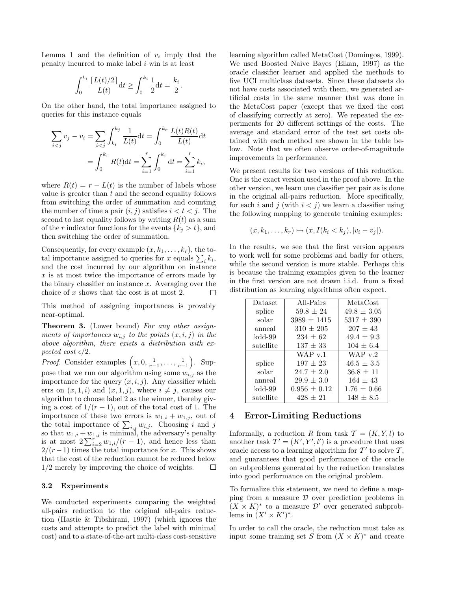Lemma 1 and the definition of  $v_i$  imply that the penalty incurred to make label  $i$  win is at least

$$
\int_0^{k_i} \frac{\lceil L(t)/2 \rceil}{L(t)} dt \ge \int_0^{k_i} \frac{1}{2} dt = \frac{k_i}{2}.
$$

On the other hand, the total importance assigned to queries for this instance equals

$$
\sum_{i < j} v_j - v_i = \sum_{i < j} \int_{k_i}^{k_j} \frac{1}{L(t)} \, dt = \int_0^{k_r} \frac{L(t)R(t)}{L(t)} \, dt
$$
\n
$$
= \int_0^{k_r} R(t) \, dt = \sum_{i=1}^r \int_0^{k_i} \, dt = \sum_{i=1}^r k_i,
$$

where  $R(t) = r - L(t)$  is the number of labels whose value is greater than  $t$  and the second equality follows from switching the order of summation and counting the number of time a pair  $(i, j)$  satisfies  $i < t < j$ . The second to last equality follows by writing  $R(t)$  as a sum of the r indicator functions for the events  $\{k_i > t\}$ , and then switching the order of summation.

Consequently, for every example  $(x, k_1, \ldots, k_r)$ , the total importance assigned to queries for x equals  $\sum_i k_i$ , and the cost incurred by our algorithm on instance  $x$  is at most twice the importance of errors made by the binary classifier on instance  $x$ . Averaging over the choice of x shows that the cost is at most 2. П

This method of assigning importances is provably near-optimal.

Theorem 3. (Lower bound) For any other assignments of importances  $w_{i,j}$  to the points  $(x, i, j)$  in the above algorithm, there exists a distribution with expected cost  $\epsilon/2$ .

*Proof.* Consider examples  $\left(x, 0, \frac{1}{r-1}, \ldots, \frac{1}{r-1}\right)$ . Suppose that we run our algorithm using some  $w_{i,j}$  as the importance for the query  $(x, i, j)$ . Any classifier which errs on  $(x, 1, i)$  and  $(x, 1, j)$ , where  $i \neq j$ , causes our algorithm to choose label 2 as the winner, thereby giving a cost of  $1/(r-1)$ , out of the total cost of 1. The importance of these two errors is  $w_{1,i} + w_{1,j}$ , out of the total importance of  $\sum_{i,j} w_{i,j}$ . Choosing i and j so that  $w_{1,i} + w_{1,j}$  is minimal, the adversary's penalty is at most  $2\sum_{i=2}^{r} w_{1,i}/(r-1)$ , and hence less than  $2/(r-1)$  times the total importance for x. This shows that the cost of the reduction cannot be reduced below 1/2 merely by improving the choice of weights. П

#### 3.2 Experiments

We conducted experiments comparing the weighted all-pairs reduction to the original all-pairs reduction (Hastie & Tibshirani, 1997) (which ignores the costs and attempts to predict the label with minimal cost) and to a state-of-the-art multi-class cost-sensitive learning algorithm called MetaCost (Domingos, 1999). We used Boosted Naive Bayes (Elkan, 1997) as the oracle classifier learner and applied the methods to five UCI multiclass datasets. Since these datasets do not have costs associated with them, we generated artificial costs in the same manner that was done in the MetaCost paper (except that we fixed the cost of classifying correctly at zero). We repeated the experiments for 20 different settings of the costs. The average and standard error of the test set costs obtained with each method are shown in the table below. Note that we often observe order-of-magnitude improvements in performance.

We present results for two versions of this reduction. One is the exact version used in the proof above. In the other version, we learn one classifier per pair as is done in the original all-pairs reduction. More specifically, for each i and j (with  $i < j$ ) we learn a classifier using the following mapping to generate training examples:

$$
(x, k_1, \ldots, k_r) \mapsto (x, I(k_i < k_j), |v_i - v_j|).
$$

In the results, we see that the first version appears to work well for some problems and badly for others, while the second version is more stable. Perhaps this is because the training examples given to the learner in the first version are not drawn i.i.d. from a fixed distribution as learning algorithms often expect.

| Dataset   | All-Pairs        | MetaCost        |
|-----------|------------------|-----------------|
| splice    | $59.8 \pm 24$    | $49.8 \pm 3.05$ |
| solar     | $3989 \pm 1415$  | $5317 \pm 390$  |
| anneal    | $310 \pm 205$    | $207 \pm 43$    |
| kdd-99    | $234 \pm 62$     | $49.4 \pm 9.3$  |
| satellite | $137 \pm 33$     | $104 \pm 6.4$   |
|           | WAP $v.1$        | WAP $v.2$       |
|           |                  |                 |
| splice    | $197 \pm 23$     | $46.5 \pm 3.5$  |
| solar     | $24.7 \pm 2.0$   | $36.8 \pm 11$   |
| anneal    | $29.9 \pm 3.0$   | $164 \pm 43$    |
| kdd-99    | $0.956 \pm 0.12$ | $1.76 \pm 0.66$ |

### 4 Error-Limiting Reductions

Informally, a reduction R from task  $\mathcal{T} = (K, Y, l)$  to another task  $T' = (K', Y', l')$  is a procedure that uses oracle access to a learning algorithm for  $\mathcal{T}'$  to solve  $\mathcal{T},$ and guarantees that good performance of the oracle on subproblems generated by the reduction translates into good performance on the original problem.

To formalize this statement, we need to define a mapping from a measure  $\mathcal D$  over prediction problems in  $(X \times K)^*$  to a measure D' over generated subproblems in  $(X' \times K')^*$ .

In order to call the oracle, the reduction must take as input some training set S from  $(X \times K)^*$  and create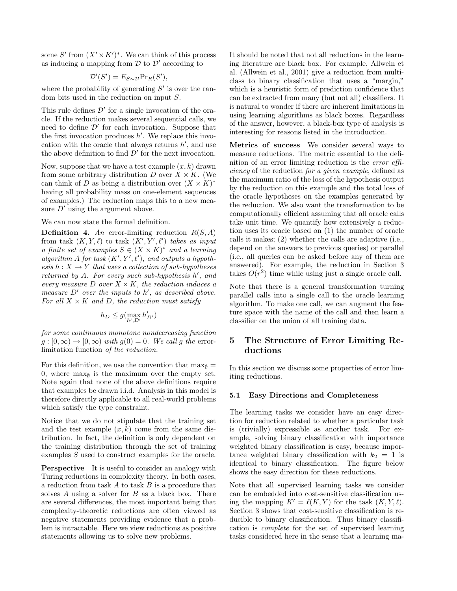some S' from  $(X' \times K')^*$ . We can think of this process as inducing a mapping from  $\mathcal D$  to  $\mathcal D'$  according to

$$
\mathcal{D}'(S') = E_{S \sim \mathcal{D}} Pr_R(S'),
$$

where the probability of generating  $S'$  is over the random bits used in the reduction on input S.

This rule defines  $\mathcal{D}'$  for a single invocation of the oracle. If the reduction makes several sequential calls, we need to define  $\mathcal{D}'$  for each invocation. Suppose that the first invocation produces  $h'$ . We replace this invocation with the oracle that always returns  $h'$ , and use the above definition to find  $\mathcal{D}'$  for the next invocation.

Now, suppose that we have a test example  $(x, k)$  drawn from some arbitrary distribution D over  $X \times K$ . (We can think of D as being a distribution over  $(X \times K)^*$ having all probability mass on one-element sequences of examples.) The reduction maps this to a new measure  $D'$  using the argument above.

We can now state the formal definition.

**Definition 4.** An error-limiting reduction  $R(S, A)$ from task  $(K, Y, \ell)$  to task  $(K', Y', \ell')$  takes as input a finite set of examples  $S \in (X \times K)^*$  and a learning algorithm A for task  $(K', Y', \ell')$ , and outputs a hypothesis  $h: X \to Y$  that uses a collection of sub-hypotheses returned by  $A$ . For every such sub-hypothesis  $h'$ , and every measure  $D$  over  $X \times K$ , the reduction induces a measure  $D'$  over the inputs to h', as described above. For all  $X \times K$  and D, the reduction must satisfy

$$
h_D \leq g(\max_{h',D'} h'_{D'})
$$

for some continuous monotone nondecreasing function  $g:[0,\infty)\to[0,\infty)$  with  $g(0)=0$ . We call g the errorlimitation function of the reduction.

For this definition, we use the convention that  $\max_{\emptyset}$  = 0, where  $\max_{\emptyset}$  is the maximum over the empty set. Note again that none of the above definitions require that examples be drawn i.i.d. Analysis in this model is therefore directly applicable to all real-world problems which satisfy the type constraint.

Notice that we do not stipulate that the training set and the test example  $(x, k)$  come from the same distribution. In fact, the definition is only dependent on the training distribution through the set of training examples S used to construct examples for the oracle.

**Perspective** It is useful to consider an analogy with Turing reductions in complexity theory. In both cases, a reduction from task  $A$  to task  $B$  is a procedure that solves A using a solver for  $B$  as a black box. There are several differences, the most important being that complexity-theoretic reductions are often viewed as negative statements providing evidence that a problem is intractable. Here we view reductions as positive statements allowing us to solve new problems.

It should be noted that not all reductions in the learning literature are black box. For example, Allwein et al. (Allwein et al., 2001) give a reduction from multiclass to binary classification that uses a "margin," which is a heuristic form of prediction confidence that can be extracted from many (but not all) classifiers. It is natural to wonder if there are inherent limitations in using learning algorithms as black boxes. Regardless of the answer, however, a black-box type of analysis is interesting for reasons listed in the introduction.

Metrics of success We consider several ways to measure reductions. The metric essential to the definition of an error limiting reduction is the error efficiency of the reduction for a given example, defined as the maximum ratio of the loss of the hypothesis output by the reduction on this example and the total loss of the oracle hypotheses on the examples generated by the reduction. We also want the transformation to be computationally efficient assuming that all oracle calls take unit time. We quantify how extensively a reduction uses its oracle based on (1) the number of oracle calls it makes; (2) whether the calls are adaptive (i.e., depend on the answers to previous queries) or parallel (i.e., all queries can be asked before any of them are answered). For example, the reduction in Section 3 takes  $O(r^2)$  time while using just a single oracle call.

Note that there is a general transformation turning parallel calls into a single call to the oracle learning algorithm. To make one call, we can augment the feature space with the name of the call and then learn a classifier on the union of all training data.

# 5 The Structure of Error Limiting Reductions

In this section we discuss some properties of error limiting reductions.

#### 5.1 Easy Directions and Completeness

The learning tasks we consider have an easy direction for reduction related to whether a particular task is (trivially) expressible as another task. For example, solving binary classification with importance weighted binary classification is easy, because importance weighted binary classification with  $k_2 = 1$  is identical to binary classification. The figure below shows the easy direction for these reductions.

Note that all supervised learning tasks we consider can be embedded into cost-sensitive classification using the mapping  $K' = \ell(K, Y)$  for the task  $(K, Y, \ell)$ . Section 3 shows that cost-sensitive classification is reducible to binary classification. Thus binary classification is complete for the set of supervised learning tasks considered here in the sense that a learning ma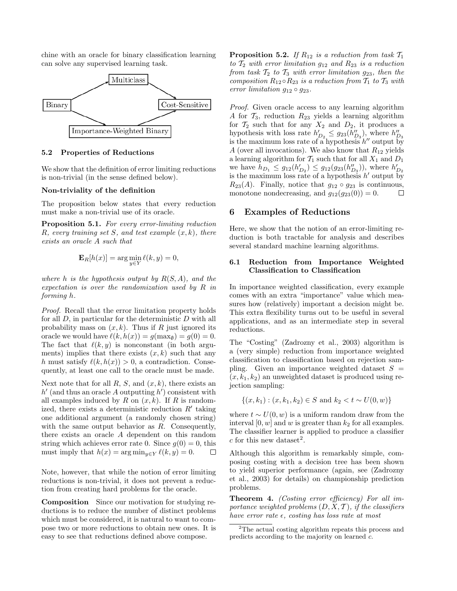chine with an oracle for binary classification learning can solve any supervised learning task.



### 5.2 Properties of Reductions

We show that the definition of error limiting reductions is non-trivial (in the sense defined below).

#### Non-triviality of the definition

The proposition below states that every reduction must make a non-trivial use of its oracle.

**Proposition 5.1.** For every error-limiting reduction R, every training set S, and test example  $(x, k)$ , there exists an oracle A such that

$$
\mathbf{E}_R[h(x)]=\arg\min_{y\in Y}\ell(k,y)=0,
$$

where h is the hypothesis output by  $R(S, A)$ , and the expectation is over the randomization used by R in forming h.

Proof. Recall that the error limitation property holds for all  $D$ , in particular for the deterministic  $D$  with all probability mass on  $(x, k)$ . Thus if R just ignored its oracle we would have  $\ell(k, h(x)) = g(\max_{\emptyset}) = g(0) = 0.$ The fact that  $\ell(k, y)$  is nonconstant (in both arguments) implies that there exists  $(x, k)$  such that any h must satisfy  $\ell(k, h(x)) > 0$ , a contradiction. Consequently, at least one call to the oracle must be made.

Next note that for all  $R$ ,  $S$ , and  $(x, k)$ , there exists an  $h'$  (and thus an oracle A outputting  $h'$ ) consistent with all examples induced by R on  $(x, k)$ . If R is randomized, there exists a deterministic reduction  $R'$  taking one additional argument (a randomly chosen string) with the same output behavior as  $R$ . Consequently, there exists an oracle A dependent on this random string which achieves error rate 0. Since  $g(0) = 0$ , this must imply that  $h(x) = \arg \min_{y \in Y} \ell(k, y) = 0.$ □

Note, however, that while the notion of error limiting reductions is non-trivial, it does not prevent a reduction from creating hard problems for the oracle.

Composition Since our motivation for studying reductions is to reduce the number of distinct problems which must be considered, it is natural to want to compose two or more reductions to obtain new ones. It is easy to see that reductions defined above compose.

**Proposition 5.2.** If  $R_{12}$  is a reduction from task  $T_1$ to  $\mathcal{T}_2$  with error limitation  $g_{12}$  and  $R_{23}$  is a reduction from task  $T_2$  to  $T_3$  with error limitation  $g_{23}$ , then the composition  $R_{12} \circ R_{23}$  is a reduction from  $T_1$  to  $T_3$  with error limitation  $g_{12} \circ g_{23}$ .

Proof. Given oracle access to any learning algorithm A for  $\mathcal{T}_3$ , reduction  $R_{23}$  yields a learning algorithm for  $\mathcal{T}_2$  such that for any  $X_2$  and  $D_2$ , it produces a hypothesis with loss rate  $h'_{D_2} \leq g_{23}(h''_{D_3})$ , where  $h''_{D_3}$ is the maximum loss rate of a hypothesis  $h''$  output by A (over all invocations). We also know that  $R_{12}$  yields a learning algorithm for  $\mathcal{T}_1$  such that for all  $X_1$  and  $D_1$ we have  $h_{D_1} \leq g_{12}(h'_{D_2}) \leq g_{12}(g_{23}(h''_{D_3}))$ , where  $h'_{D_2}$ is the maximum loss rate of a hypothesis  $h'$  output by  $R_{23}(A)$ . Finally, notice that  $g_{12} \circ g_{23}$  is continuous, monotone nondecreasing, and  $g_{12}(g_{23}(0)) = 0$ .  $\Box$ 

### 6 Examples of Reductions

Here, we show that the notion of an error-limiting reduction is both tractable for analysis and describes several standard machine learning algorithms.

### 6.1 Reduction from Importance Weighted Classification to Classification

In importance weighted classification, every example comes with an extra "importance" value which measures how (relatively) important a decision might be. This extra flexibility turns out to be useful in several applications, and as an intermediate step in several reductions.

The "Costing" (Zadrozny et al., 2003) algorithm is a (very simple) reduction from importance weighted classification to classification based on rejection sampling. Given an importance weighted dataset  $S =$  $(x, k_1, k_2)$  an unweighted dataset is produced using rejection sampling:

$$
\{(x, k_1) : (x, k_1, k_2) \in S \text{ and } k_2 < t \sim U(0, w)\}
$$

where  $t \sim U(0, w)$  is a uniform random draw from the interval  $[0, w]$  and w is greater than  $k_2$  for all examples. The classifier learner is applied to produce a classifier c for this new dataset<sup>2</sup>.

Although this algorithm is remarkably simple, composing costing with a decision tree has been shown to yield superior performance (again, see (Zadrozny et al., 2003) for details) on championship prediction problems.

Theorem 4. (Costing error efficiency) For all importance weighted problems  $(D, X, \mathcal{T})$ , if the classifiers have error rate  $\epsilon$ , costing has loss rate at most

<sup>2</sup>The actual costing algorithm repeats this process and predicts according to the majority on learned c.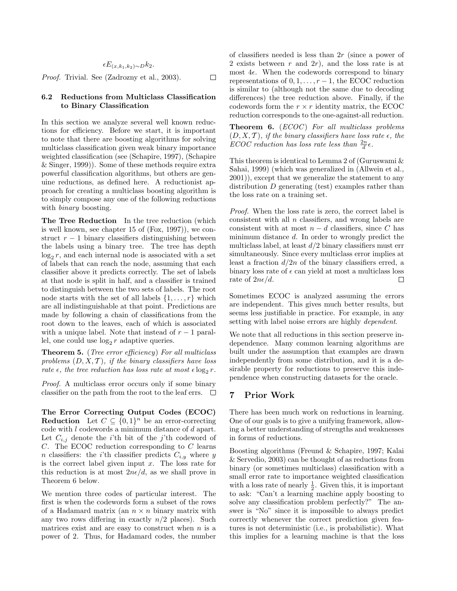$$
\epsilon E_{(x,k_1,k_2)\sim D}k_2.
$$
  
*Proof.* Trivial. See (Zadrozny et al., 2003).  $\square$ 

### 6.2 Reductions from Multiclass Classification to Binary Classification

In this section we analyze several well known reductions for efficiency. Before we start, it is important to note that there are boosting algorithms for solving multiclass classification given weak binary importance weighted classification (see (Schapire, 1997), (Schapire & Singer, 1999)). Some of these methods require extra powerful classification algorithms, but others are genuine reductions, as defined here. A reductionist approach for creating a multiclass boosting algorithm is to simply compose any one of the following reductions with *binary* boosting.

The Tree Reduction In the tree reduction (which is well known, see chapter 15 of (Fox, 1997)), we construct  $r - 1$  binary classifiers distinguishing between the labels using a binary tree. The tree has depth  $log_2 r$ , and each internal node is associated with a set of labels that can reach the node, assuming that each classifier above it predicts correctly. The set of labels at that node is split in half, and a classifier is trained to distinguish between the two sets of labels. The root node starts with the set of all labels  $\{1, \ldots, r\}$  which are all indistinguishable at that point. Predictions are made by following a chain of classifications from the root down to the leaves, each of which is associated with a unique label. Note that instead of  $r - 1$  parallel, one could use  $\log_2 r$  adaptive queries.

Theorem 5. (Tree error efficiency) For all multiclass problems  $(D, X, T)$ , if the binary classifiers have loss rate  $\epsilon$ , the tree reduction has loss rate at most  $\epsilon \log_2 r$ .

Proof. A multiclass error occurs only if some binary classifier on the path from the root to the leaf errs.  $\Box$ 

The Error Correcting Output Codes (ECOC) **Reduction** Let  $C \subseteq \{0,1\}^n$  be an error-correcting code with l codewords a minimum distance of d apart. Let  $C_{i,j}$  denote the *i*'th bit of the *j*'th codeword of C. The ECOC reduction corresponding to C learns *n* classifiers: the *i*'th classifier predicts  $C_{i,y}$  where y is the correct label given input  $x$ . The loss rate for this reduction is at most  $2n\epsilon/d$ , as we shall prove in Theorem 6 below.

We mention three codes of particular interest. The first is when the codewords form a subset of the rows of a Hadamard matrix (an  $n \times n$  binary matrix with any two rows differing in exactly  $n/2$  places). Such matrices exist and are easy to construct when  $n$  is a power of 2. Thus, for Hadamard codes, the number of classifiers needed is less than  $2r$  (since a power of 2 exists between  $r$  and  $2r$ ), and the loss rate is at most  $4\epsilon$ . When the codewords correspond to binary representations of  $0, 1, \ldots, r-1$ , the ECOC reduction is similar to (although not the same due to decoding differences) the tree reduction above. Finally, if the codewords form the  $r \times r$  identity matrix, the ECOC reduction corresponds to the one-against-all reduction.

**Theorem 6.**  $(ECOC)$  For all multiclass problems  $(D, X, \mathcal{T})$ , if the binary classifiers have loss rate  $\epsilon$ , the ECOC reduction has loss rate less than  $\frac{2n}{d} \epsilon$ .

This theorem is identical to Lemma 2 of (Guruswami & Sahai, 1999) (which was generalized in (Allwein et al., 2001)), except that we generalize the statement to any distribution D generating (test) examples rather than the loss rate on a training set.

Proof. When the loss rate is zero, the correct label is consistent with all  $n$  classifiers, and wrong labels are consistent with at most  $n - d$  classifiers, since C has minimum distance d. In order to wrongly predict the multiclass label, at least  $d/2$  binary classifiers must err simultaneously. Since every multiclass error implies at least a fraction  $d/2n$  of the binary classifiers erred, a binary loss rate of  $\epsilon$  can yield at most a multiclass loss rate of  $2n\epsilon/d$ . П

Sometimes ECOC is analyzed assuming the errors are independent. This gives much better results, but seems less justifiable in practice. For example, in any setting with label noise errors are highly *dependent*.

We note that all reductions in this section preserve independence. Many common learning algorithms are built under the assumption that examples are drawn independently from some distribution, and it is a desirable property for reductions to preserve this independence when constructing datasets for the oracle.

# 7 Prior Work

There has been much work on reductions in learning. One of our goals is to give a unifying framework, allowing a better understanding of strengths and weaknesses in forms of reductions.

Boosting algorithms (Freund & Schapire, 1997; Kalai & Servedio, 2003) can be thought of as reductions from binary (or sometimes multiclass) classification with a small error rate to importance weighted classification with a loss rate of nearly  $\frac{1}{2}$ . Given this, it is important to ask: "Can't a learning machine apply boosting to solve any classification problem perfectly?" The answer is "No" since it is impossible to always predict correctly whenever the correct prediction given features is not deterministic (i.e., is probabilistic). What this implies for a learning machine is that the loss